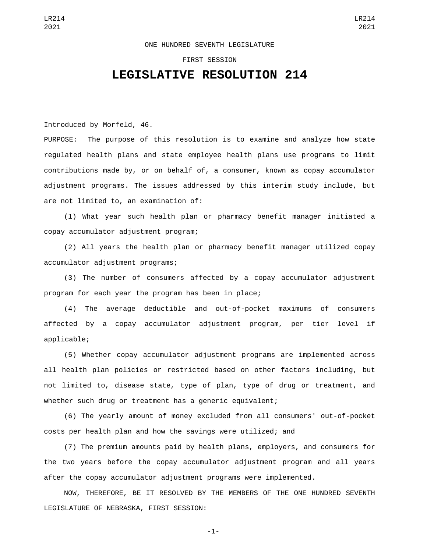## ONE HUNDRED SEVENTH LEGISLATURE

## FIRST SESSION

## **LEGISLATIVE RESOLUTION 214**

Introduced by Morfeld, 46.

PURPOSE: The purpose of this resolution is to examine and analyze how state regulated health plans and state employee health plans use programs to limit contributions made by, or on behalf of, a consumer, known as copay accumulator adjustment programs. The issues addressed by this interim study include, but are not limited to, an examination of:

(1) What year such health plan or pharmacy benefit manager initiated a copay accumulator adjustment program;

(2) All years the health plan or pharmacy benefit manager utilized copay accumulator adjustment programs;

(3) The number of consumers affected by a copay accumulator adjustment program for each year the program has been in place;

(4) The average deductible and out-of-pocket maximums of consumers affected by a copay accumulator adjustment program, per tier level if applicable;

(5) Whether copay accumulator adjustment programs are implemented across all health plan policies or restricted based on other factors including, but not limited to, disease state, type of plan, type of drug or treatment, and whether such drug or treatment has a generic equivalent;

(6) The yearly amount of money excluded from all consumers' out-of-pocket costs per health plan and how the savings were utilized; and

(7) The premium amounts paid by health plans, employers, and consumers for the two years before the copay accumulator adjustment program and all years after the copay accumulator adjustment programs were implemented.

NOW, THEREFORE, BE IT RESOLVED BY THE MEMBERS OF THE ONE HUNDRED SEVENTH LEGISLATURE OF NEBRASKA, FIRST SESSION:

-1-